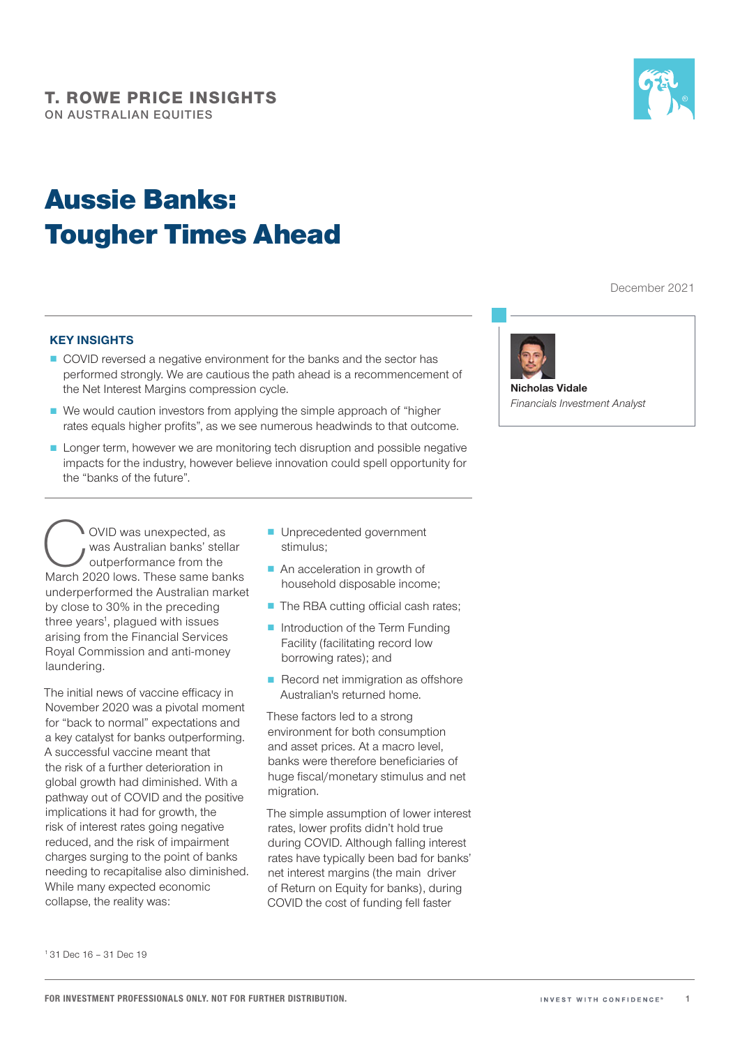# Aussie Banks: Tougher Times Ahead



December 2021

#### KEY INSIGHTS

- COVID reversed a negative environment for the banks and the sector has performed strongly. We are cautious the path ahead is a recommencement of the Net Interest Margins compression cycle.
- We would caution investors from applying the simple approach of "higher" rates equals higher profits", as we see numerous headwinds to that outcome.
- Longer term, however we are monitoring tech disruption and possible negative impacts for the industry, however believe innovation could spell opportunity for the "banks of the future".

OVID was unexpected, as<br>
was Australian banks' stellar<br>
March 2020 lows. These same banks was Australian banks' stellar outperformance from the underperformed the Australian market by close to 30% in the preceding three years<sup>1</sup>, plagued with issues arising from the Financial Services Royal Commission and anti-money laundering.

The initial news of vaccine efficacy in November 2020 was a pivotal moment for "back to normal" expectations and a key catalyst for banks outperforming. A successful vaccine meant that the risk of a further deterioration in global growth had diminished. With a pathway out of COVID and the positive implications it had for growth, the risk of interest rates going negative reduced, and the risk of impairment charges surging to the point of banks needing to recapitalise also diminished. While many expected economic collapse, the reality was:

- Unprecedented government stimulus;
- An acceleration in growth of household disposable income;
- The RBA cutting official cash rates;
- Introduction of the Term Funding Facility (facilitating record low borrowing rates); and
- Record net immigration as offshore Australian's returned home.

These factors led to a strong environment for both consumption and asset prices. At a macro level, banks were therefore beneficiaries of huge fiscal/monetary stimulus and net migration.

The simple assumption of lower interest rates, lower profits didn't hold true during COVID. Although falling interest rates have typically been bad for banks' net interest margins (the main driver of Return on Equity for banks), during COVID the cost of funding fell faster



Nicholas Vidale *Financials Investment Analyst*

<sup>1</sup> 31 Dec 16 – 31 Dec 19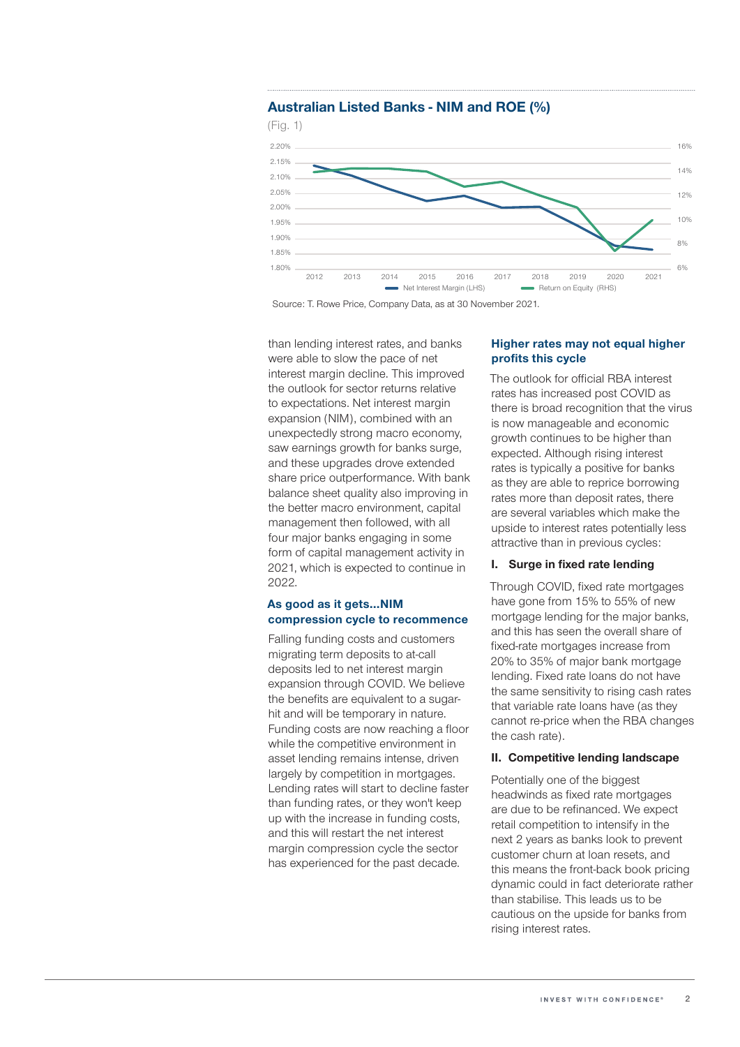

## Australian Listed Banks - NIM and ROE (%)

Source: T. Rowe Price, Company Data, as at 30 November 2021.

than lending interest rates, and banks were able to slow the pace of net interest margin decline. This improved the outlook for sector returns relative to expectations. Net interest margin expansion (NIM), combined with an unexpectedly strong macro economy, saw earnings growth for banks surge, and these upgrades drove extended share price outperformance. With bank balance sheet quality also improving in the better macro environment, capital management then followed, with all four major banks engaging in some form of capital management activity in 2021, which is expected to continue in 2022.

## As good as it gets…NIM compression cycle to recommence

Falling funding costs and customers migrating term deposits to at-call deposits led to net interest margin expansion through COVID. We believe the benefits are equivalent to a sugarhit and will be temporary in nature. Funding costs are now reaching a floor while the competitive environment in asset lending remains intense, driven largely by competition in mortgages. Lending rates will start to decline faster than funding rates, or they won't keep up with the increase in funding costs, and this will restart the net interest margin compression cycle the sector has experienced for the past decade.

#### Higher rates may not equal higher profits this cycle

The outlook for official RBA interest rates has increased post COVID as there is broad recognition that the virus is now manageable and economic growth continues to be higher than expected. Although rising interest rates is typically a positive for banks as they are able to reprice borrowing rates more than deposit rates, there are several variables which make the upside to interest rates potentially less attractive than in previous cycles:

#### I. Surge in fixed rate lending

Through COVID, fixed rate mortgages have gone from 15% to 55% of new mortgage lending for the major banks, and this has seen the overall share of fixed-rate mortgages increase from 20% to 35% of major bank mortgage lending. Fixed rate loans do not have the same sensitivity to rising cash rates that variable rate loans have (as they cannot re-price when the RBA changes the cash rate).

#### II. Competitive lending landscape

Potentially one of the biggest headwinds as fixed rate mortgages are due to be refinanced. We expect retail competition to intensify in the next 2 years as banks look to prevent customer churn at loan resets, and this means the front-back book pricing dynamic could in fact deteriorate rather than stabilise. This leads us to be cautious on the upside for banks from rising interest rates.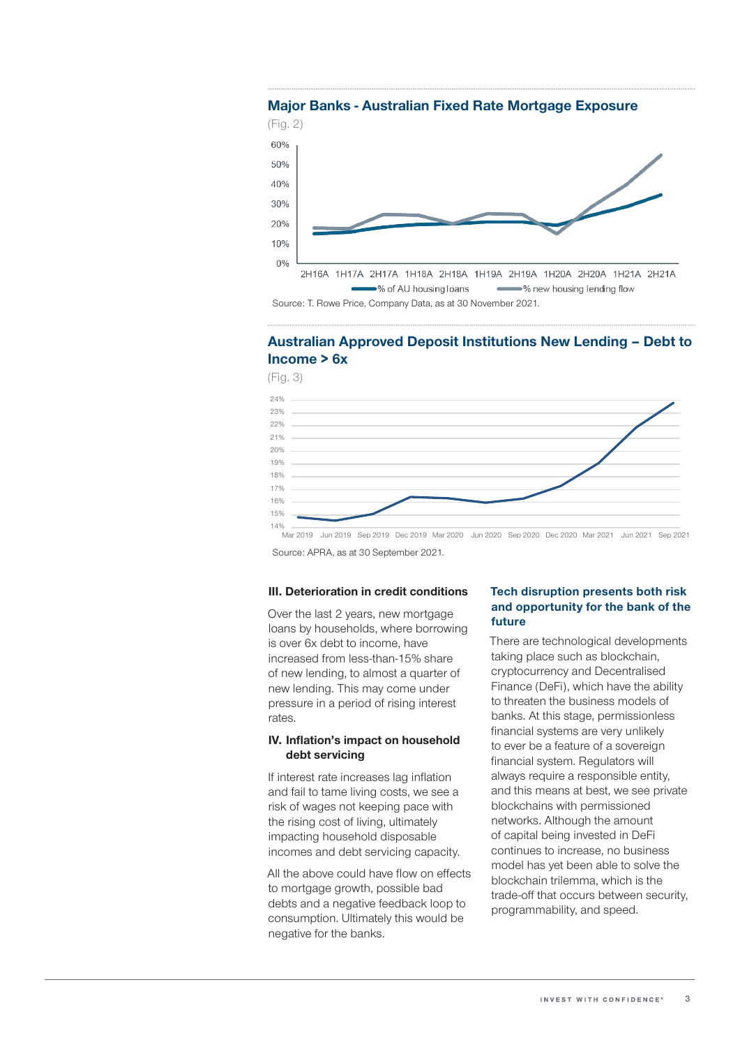

## Australian Approved Deposit Institutions New Lending – Debt to Income > 6x

(Fig. 3)



Mar 2019 Jun 2019 Sep 2019 Dec 2019 Mar 2020 Jun 2020 Sep 2020 Dec 2020 Mar 2021 Jun 2021 Sep 2021 Source: APRA, as at 30 September 2021.

#### III. Deterioration in credit conditions

Over the last 2 years, new mortgage loans by households, where borrowing is over 6x debt to income, have increased from less-than-15% share of new lending, to almost a quarter of new lending. This may come under pressure in a period of rising interest rates.

#### IV. Inflation's impact on household debt servicing

If interest rate increases lag inflation and fail to tame living costs, we see a risk of wages not keeping pace with the rising cost of living, ultimately impacting household disposable incomes and debt servicing capacity.

All the above could have flow on effects to mortgage growth, possible bad debts and a negative feedback loop to consumption. Ultimately this would be negative for the banks.

## Tech disruption presents both risk and opportunity for the bank of the future

There are technological developments taking place such as blockchain, cryptocurrency and Decentralised Finance (DeFi), which have the ability to threaten the business models of banks. At this stage, permissionless financial systems are very unlikely to ever be a feature of a sovereign financial system. Regulators will always require a responsible entity, and this means at best, we see private blockchains with permissioned networks. Although the amount of capital being invested in DeFi continues to increase, no business model has yet been able to solve the blockchain trilemma, which is the trade-off that occurs between security, programmability, and speed.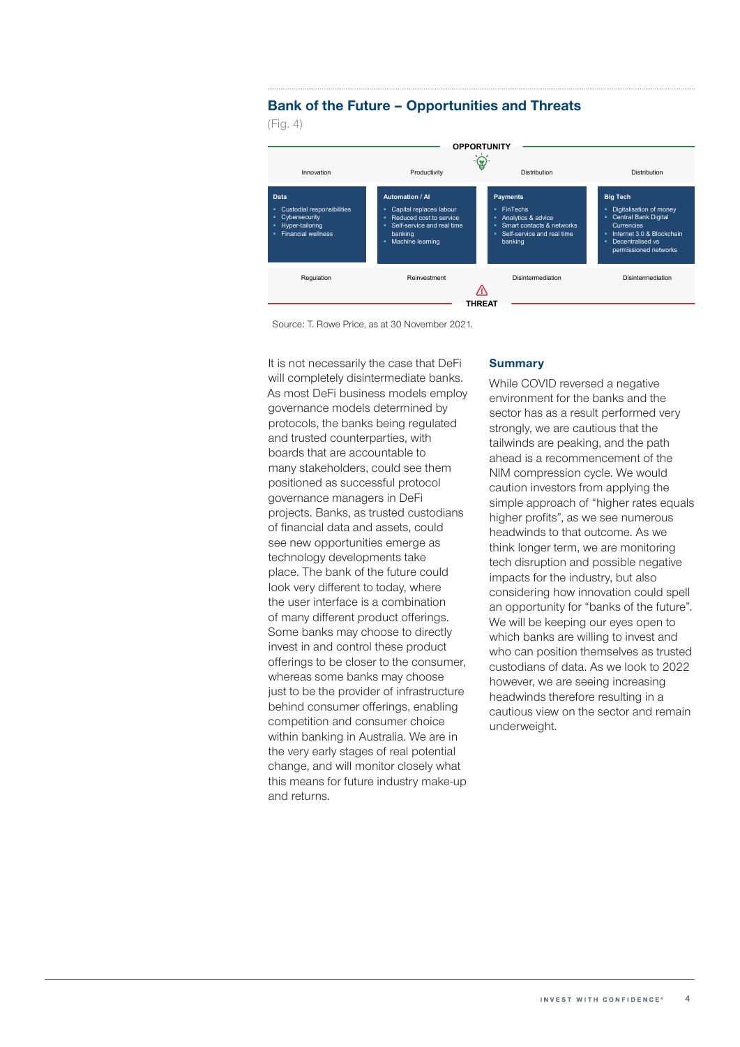## Bank of the Future – Opportunities and Threats

(Fig. 4)



Source: T. Rowe Price, as at 30 November 2021.

It is not necessarily the case that DeFi will completely disintermediate banks. As most DeFi business models employ governance models determined by protocols, the banks being regulated and trusted counterparties, with boards that are accountable to many stakeholders, could see them positioned as successful protocol governance managers in DeFi projects. Banks, as trusted custodians of financial data and assets, could see new opportunities emerge as technology developments take place. The bank of the future could look very different to today, where the user interface is a combination of many different product offerings. Some banks may choose to directly invest in and control these product offerings to be closer to the consumer, whereas some banks may choose just to be the provider of infrastructure behind consumer offerings, enabling competition and consumer choice within banking in Australia. We are in the very early stages of real potential change, and will monitor closely what this means for future industry make-up and returns.

#### **Summary**

WIII COMPIEIEIY GISINIEMHEQIALE DANKS. While COVID reversed a negative environment for the banks and the sector has as a result performed very strongly, we are cautious that the tailwinds are peaking, and the path ahead is a recommencement of the NIM compression cycle. We would caution investors from applying the simple approach of "higher rates equals higher profits", as we see numerous headwinds to that outcome. As we think longer term, we are monitoring tech disruption and possible negative impacts for the industry, but also considering how innovation could spell an opportunity for "banks of the future". We will be keeping our eyes open to which banks are willing to invest and who can position themselves as trusted custodians of data. As we look to 2022 however, we are seeing increasing headwinds therefore resulting in a cautious view on the sector and remain underweight.